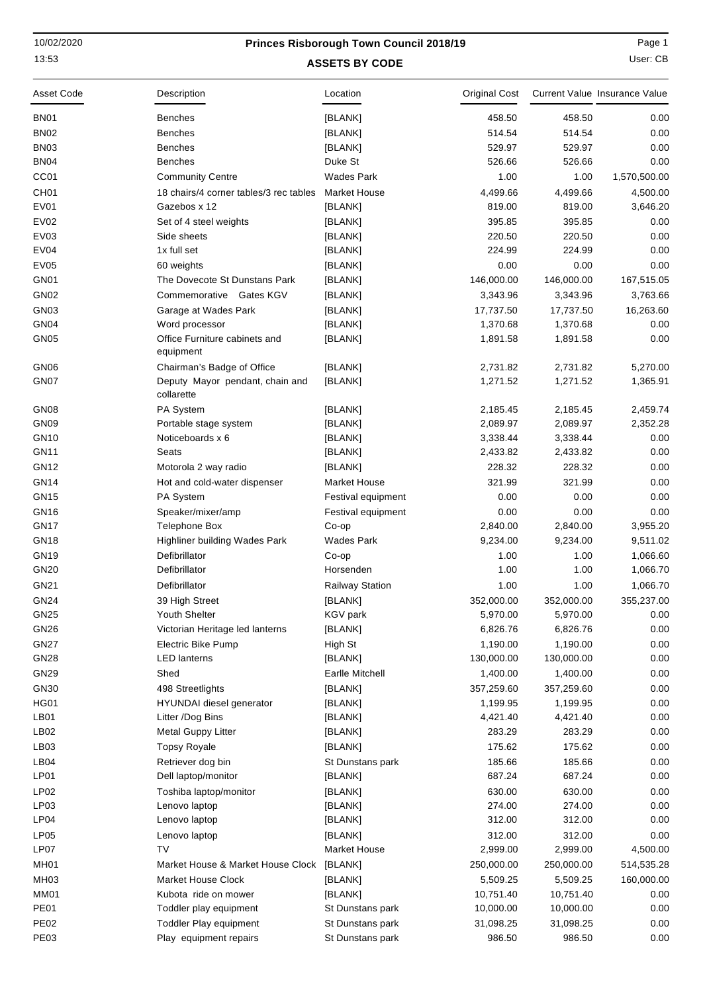## 10/02/2020

## **ASSETS BY CODE** 13:53 User: CB **Princes Risborough Town Council 2018/19** Page 1

| Asset Code       | Description                                   | Location               | Original Cost |            | Current Value Insurance Value |
|------------------|-----------------------------------------------|------------------------|---------------|------------|-------------------------------|
| BN <sub>01</sub> | Benches                                       | [BLANK]                | 458.50        | 458.50     | 0.00                          |
| <b>BN02</b>      | <b>Benches</b>                                | [BLANK]                | 514.54        | 514.54     | 0.00                          |
| <b>BN03</b>      | <b>Benches</b>                                | [BLANK]                | 529.97        | 529.97     | 0.00                          |
| <b>BN04</b>      | <b>Benches</b>                                | Duke St                | 526.66        | 526.66     | 0.00                          |
| CC <sub>01</sub> | <b>Community Centre</b>                       | <b>Wades Park</b>      | 1.00          | 1.00       | 1,570,500.00                  |
| CH <sub>01</sub> | 18 chairs/4 corner tables/3 rec tables        | <b>Market House</b>    | 4,499.66      | 4,499.66   | 4,500.00                      |
| EV01             | Gazebos x 12                                  | [BLANK]                | 819.00        | 819.00     | 3,646.20                      |
| <b>EV02</b>      | Set of 4 steel weights                        | [BLANK]                | 395.85        | 395.85     | 0.00                          |
| <b>EV03</b>      | Side sheets                                   | [BLANK]                | 220.50        | 220.50     | 0.00                          |
| <b>EV04</b>      | 1x full set                                   | [BLANK]                | 224.99        | 224.99     | 0.00                          |
| <b>EV05</b>      | 60 weights                                    | [BLANK]                | 0.00          | 0.00       | 0.00                          |
| GN <sub>01</sub> | The Dovecote St Dunstans Park                 | [BLANK]                | 146,000.00    | 146,000.00 | 167,515.05                    |
| <b>GN02</b>      | Commemorative Gates KGV                       | [BLANK]                | 3,343.96      | 3,343.96   | 3,763.66                      |
| GN03             | Garage at Wades Park                          | [BLANK]                | 17,737.50     | 17,737.50  | 16,263.60                     |
| GN04             | Word processor                                | [BLANK]                | 1,370.68      | 1,370.68   | 0.00                          |
| <b>GN05</b>      | Office Furniture cabinets and<br>equipment    | [BLANK]                | 1,891.58      | 1,891.58   | 0.00                          |
| GN <sub>06</sub> | Chairman's Badge of Office                    | [BLANK]                | 2,731.82      | 2,731.82   | 5,270.00                      |
| GN07             | Deputy Mayor pendant, chain and<br>collarette | [BLANK]                | 1,271.52      | 1,271.52   | 1,365.91                      |
| GN <sub>08</sub> | PA System                                     | [BLANK]                | 2,185.45      | 2,185.45   | 2,459.74                      |
| GN09             | Portable stage system                         | [BLANK]                | 2,089.97      | 2,089.97   | 2,352.28                      |
| <b>GN10</b>      | Noticeboards x 6                              | [BLANK]                | 3,338.44      | 3,338.44   | 0.00                          |
| <b>GN11</b>      | Seats                                         | [BLANK]                | 2,433.82      | 2,433.82   | 0.00                          |
| <b>GN12</b>      | Motorola 2 way radio                          | [BLANK]                | 228.32        | 228.32     | 0.00                          |
| <b>GN14</b>      | Hot and cold-water dispenser                  | <b>Market House</b>    | 321.99        | 321.99     | 0.00                          |
| <b>GN15</b>      | PA System                                     | Festival equipment     | 0.00          | 0.00       | 0.00                          |
| <b>GN16</b>      | Speaker/mixer/amp                             | Festival equipment     | 0.00          | 0.00       | 0.00                          |
| <b>GN17</b>      | Telephone Box                                 | Co-op                  | 2,840.00      | 2,840.00   | 3,955.20                      |
| <b>GN18</b>      | Highliner building Wades Park                 | <b>Wades Park</b>      | 9,234.00      | 9,234.00   | 9,511.02                      |
| <b>GN19</b>      | Defibrillator                                 | Co-op                  | 1.00          | 1.00       | 1,066.60                      |
| GN20             | Defibrillator                                 | Horsenden              | 1.00          | 1.00       | 1,066.70                      |
| GN21             | Defibrillator                                 | <b>Railway Station</b> | 1.00          | 1.00       | 1,066.70                      |
| <b>GN24</b>      | 39 High Street                                | [BLANK]                | 352,000.00    | 352,000.00 | 355,237.00                    |
| <b>GN25</b>      | Youth Shelter                                 | KGV park               | 5,970.00      | 5,970.00   | 0.00                          |
| <b>GN26</b>      | Victorian Heritage led lanterns               | [BLANK]                | 6,826.76      | 6,826.76   | 0.00                          |
| <b>GN27</b>      | <b>Electric Bike Pump</b>                     | High St                | 1,190.00      | 1,190.00   | 0.00                          |
| <b>GN28</b>      | <b>LED</b> lanterns                           | [BLANK]                | 130,000.00    | 130,000.00 | 0.00                          |
| GN29             | Shed                                          | Earlle Mitchell        | 1,400.00      | 1,400.00   | 0.00                          |
| GN30             | 498 Streetlights                              | [BLANK]                | 357,259.60    | 357,259.60 | 0.00                          |
| <b>HG01</b>      | HYUNDAI diesel generator                      | [BLANK]                | 1,199.95      | 1,199.95   | 0.00                          |
| LB01             | Litter /Dog Bins                              | [BLANK]                | 4,421.40      | 4,421.40   | 0.00                          |
| LB <sub>02</sub> | <b>Metal Guppy Litter</b>                     | [BLANK]                | 283.29        | 283.29     | 0.00                          |
| LB03             | <b>Topsy Royale</b>                           | [BLANK]                | 175.62        | 175.62     | 0.00                          |
| LB <sub>04</sub> | Retriever dog bin                             | St Dunstans park       | 185.66        | 185.66     | 0.00                          |
| LP01             | Dell laptop/monitor                           | [BLANK]                | 687.24        | 687.24     | 0.00                          |
| LP02             | Toshiba laptop/monitor                        | [BLANK]                | 630.00        | 630.00     | 0.00                          |
| LP03             | Lenovo laptop                                 | [BLANK]                | 274.00        | 274.00     | 0.00                          |
| LP04             | Lenovo laptop                                 | [BLANK]                | 312.00        | 312.00     | 0.00                          |
| <b>LP05</b>      | Lenovo laptop                                 | [BLANK]                | 312.00        | 312.00     | 0.00                          |
| LP07             | TV                                            | Market House           | 2,999.00      | 2,999.00   | 4,500.00                      |
| <b>MH01</b>      | Market House & Market House Clock             | [BLANK]                | 250,000.00    | 250,000.00 | 514,535.28                    |
| MH <sub>03</sub> | <b>Market House Clock</b>                     | [BLANK]                | 5,509.25      | 5,509.25   | 160,000.00                    |
| MM01             | Kubota ride on mower                          | [BLANK]                | 10,751.40     | 10,751.40  | 0.00                          |
| <b>PE01</b>      | Toddler play equipment                        | St Dunstans park       | 10,000.00     | 10,000.00  | 0.00                          |
| <b>PE02</b>      | Toddler Play equipment                        | St Dunstans park       | 31,098.25     | 31,098.25  | 0.00                          |
| <b>PE03</b>      | Play equipment repairs                        | St Dunstans park       | 986.50        | 986.50     | 0.00                          |